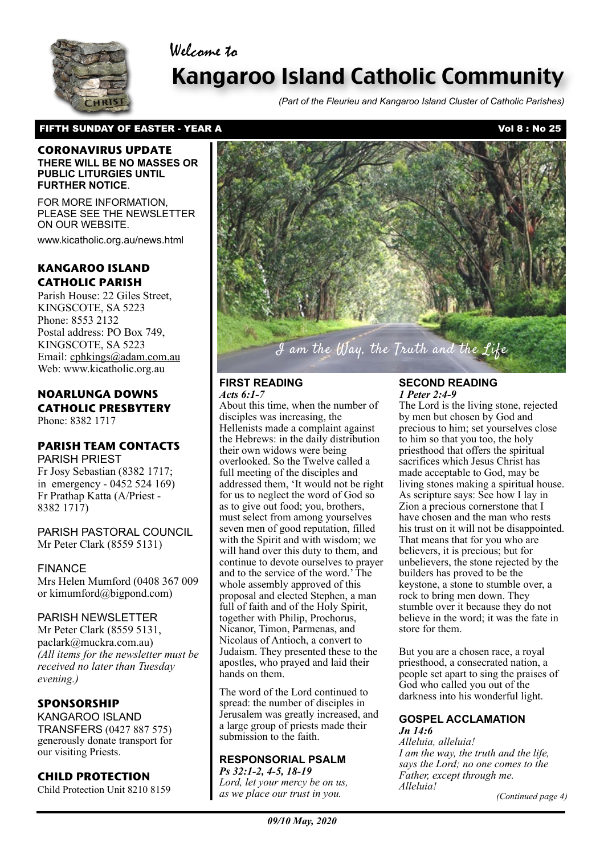



# Kangaroo Island Catholic Community

*(Part of the Fleurieu and Kangaroo Island Cluster of Catholic Parishes)*

### FIFTH SUNDAY OF EASTER - YEAR A Vol 8 : No 25

#### **CORONAVIRUS UPDATE THERE WILL BE NO MASSES OR PUBLIC LITURGIES UNTIL FURTHER NOTICE**.

FOR MORE INFORMATION, PLEASE SEE THE NEWSLETTER ON OUR WEBSITE.

www.kicatholic.org.au/news.html

### **KANGAROO ISLAND CATHOLIC PARISH**

Parish House: 22 Giles Street, KINGSCOTE, SA 5223 Phone: 8553 2132 Postal address: PO Box 749, KINGSCOTE, SA 5223 Email: cphkings@adam.com.au Web: www.kicatholic.org.au

### **NOARLUNGA DOWNS CATHOLIC PRESBYTERY**

Phone: 8382 1717

### **PARISH TEAM CONTACTS**

PARISH PRIEST Fr Josy Sebastian (8382 1717; in emergency - 0452 524 169) Fr Prathap Katta (A/Priest - 8382 1717)

PARISH PASTORAL COUNCIL Mr Peter Clark (8559 5131)

#### FINANCE

Mrs Helen Mumford (0408 367 009 or kimumford@bigpond.com)

#### PARISH NEWSLETTER

Mr Peter Clark (8559 5131, paclark@muckra.com.au) *(All items for the newsletter must be received no later than Tuesday evening.)*

### **SPONSORSHIP**

KANGAROO ISLAND TRANSFERS (0427 887 575) generously donate transport for our visiting Priests.

### **CHILD PROTECTION**

Child Protection Unit 8210 8159



### **FIRST READING**

*Acts 6:1-7* About this time, when the number of disciples was increasing, the Hellenists made a complaint against the Hebrews: in the daily distribution their own widows were being overlooked. So the Twelve called a full meeting of the disciples and addressed them, 'It would not be right for us to neglect the word of God so as to give out food; you, brothers, must select from among yourselves seven men of good reputation, filled with the Spirit and with wisdom; we will hand over this duty to them, and continue to devote ourselves to prayer and to the service of the word.' The whole assembly approved of this proposal and elected Stephen, a man full of faith and of the Holy Spirit. together with Philip, Prochorus, Nicanor, Timon, Parmenas, and Nicolaus of Antioch, a convert to Judaism. They presented these to the apostles, who prayed and laid their hands on them.

The word of the Lord continued to spread: the number of disciples in Jerusalem was greatly increased, and a large group of priests made their submission to the faith.

### **RESPONSORIAL PSALM**

*Ps 32:1-2, 4-5, 18-19 Lord, let your mercy be on us, as we place our trust in you.*

#### **SECOND READING** *1 Peter 2:4-9*

The Lord is the living stone, rejected by men but chosen by God and precious to him; set yourselves close to him so that you too, the holy priesthood that offers the spiritual sacrifices which Jesus Christ has made acceptable to God, may be living stones making a spiritual house. As scripture says: See how I lay in Zion a precious cornerstone that I have chosen and the man who rests his trust on it will not be disappointed. That means that for you who are believers, it is precious; but for unbelievers, the stone rejected by the builders has proved to be the keystone, a stone to stumble over, a rock to bring men down. They stumble over it because they do not believe in the word; it was the fate in store for them.

But you are a chosen race, a royal priesthood, a consecrated nation, a people set apart to sing the praises of God who called you out of the darkness into his wonderful light.

#### **GOSPEL ACCLAMATION** *Jn 14:6*

*Alleluia, alleluia! I am the way, the truth and the life, says the Lord; no one comes to the Father, except through me. Alleluia!*

*(Continued page 4)*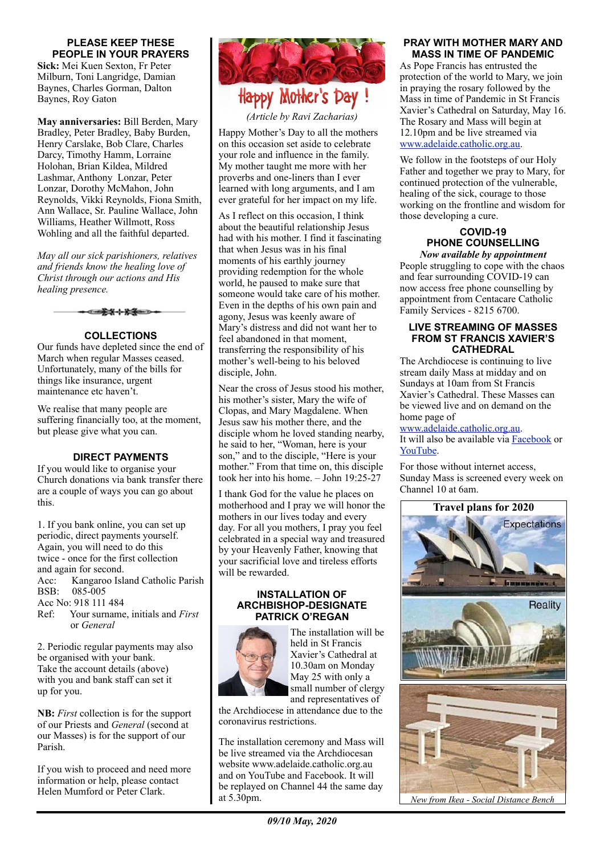#### **PLEASE KEEP THESE PEOPLE IN YOUR PRAYERS**

**Sick:** Mei Kuen Sexton, Fr Peter Milburn, Toni Langridge, Damian Baynes, Charles Gorman, Dalton Baynes, Roy Gaton

**May anniversaries:** Bill Berden, Mary Bradley, Peter Bradley, Baby Burden, Henry Carslake, Bob Clare, Charles Darcy, Timothy Hamm, Lorraine Holohan, Brian Kildea, Mildred Lashmar, Anthony Lonzar, Peter Lonzar, Dorothy McMahon, John Reynolds, Vikki Reynolds, Fiona Smith, Ann Wallace, Sr. Pauline Wallace, John Williams, Heather Willmott, Ross Wohling and all the faithful departed.

*May all our sick parishioners, relatives and friends know the healing love of Christ through our actions and His healing presence.*



#### **COLLECTIONS**

Our funds have depleted since the end of March when regular Masses ceased. Unfortunately, many of the bills for things like insurance, urgent maintenance etc haven't.

We realise that many people are suffering financially too, at the moment, but please give what you can.

#### **DIRECT PAYMENTS**

If you would like to organise your Church donations via bank transfer there are a couple of ways you can go about this.

1. If you bank online, you can set up periodic, direct payments yourself. Again, you will need to do this twice - once for the first collection and again for second. Acc: Kangaroo Island Catholic Parish BSB: 085-005 Acc No: 918 111 484 Ref: Your surname, initials and *First* or *General*

2. Periodic regular payments may also be organised with your bank. Take the account details (above) with you and bank staff can set it up for you.

**NB:** *First* collection is for the support of our Priests and *General* (second at our Masses) is for the support of our Parish.

If you wish to proceed and need more information or help, please contact Helen Mumford or Peter Clark.



## Happy Mother's Day! *(Article by Ravi Zacharias)*

Happy Mother's Day to all the mothers on this occasion set aside to celebrate your role and influence in the family. My mother taught me more with her proverbs and one-liners than I ever learned with long arguments, and I am ever grateful for her impact on my life.

As I reflect on this occasion, I think about the beautiful relationship Jesus had with his mother. I find it fascinating that when Jesus was in his final moments of his earthly journey providing redemption for the whole world, he paused to make sure that someone would take care of his mother. Even in the depths of his own pain and agony, Jesus was keenly aware of Mary's distress and did not want her to feel abandoned in that moment, transferring the responsibility of his mother's well-being to his beloved disciple, John.

Near the cross of Jesus stood his mother, his mother's sister, Mary the wife of Clopas, and Mary Magdalene. When Jesus saw his mother there, and the disciple whom he loved standing nearby, he said to her, "Woman, here is your son," and to the disciple, "Here is your mother." From that time on, this disciple took her into his home. – John 19:25-27

I thank God for the value he places on motherhood and I pray we will honor the mothers in our lives today and every day. For all you mothers, I pray you feel celebrated in a special way and treasured by your Heavenly Father, knowing that your sacrificial love and tireless efforts will be rewarded

#### **INSTALLATION OF ARCHBISHOP-DESIGNATE PATRICK O'REGAN**



The installation will be held in St Francis Xavier's Cathedral at 10.30am on Monday May 25 with only a small number of clergy and representatives of

the Archdiocese in attendance due to the coronavirus restrictions.

The installation ceremony and Mass will be live streamed via the Archdiocesan website [www.adelaide.catholic.org.au](http://www.adelaide.catholic.org.au) and on YouTube and Facebook. It will be replayed on Channel 44 the same day at 5.30pm.

#### **PRAY WITH MOTHER MARY AND MASS IN TIME OF PANDEMIC**

As Pope Francis has entrusted the protection of the world to Mary, we join in praying the rosary followed by the Mass in time of Pandemic in St Francis Xavier's Cathedral on Saturday, May 16. The Rosary and Mass will begin at 12.10pm and be live streamed via [www.adelaide.catholic.org.au](http://www.adelaide.catholic.org.au).

We follow in the footsteps of our Holy Father and together we pray to Mary, for continued protection of the vulnerable, healing of the sick, courage to those working on the frontline and wisdom for those developing a cure.

### **COVID-19 PHONE COUNSELLING**

*Now available by appointment* People struggling to cope with the chaos and fear surrounding COVID-19 can now access free phone counselling by appointment from Centacare Catholic Family Services - 8215 6700.

#### **LIVE STREAMING OF MASSES FROM ST FRANCIS XAVIER'S CATHEDRAL**

The Archdiocese is continuing to live stream daily Mass at midday and on Sundays at 10am from St Francis Xavier's Cathedral. These Masses can be viewed live and on demand on the home page of

[www.adelaide.catholic.org.au](http://www.adelaide.catholic.org.au).

It will also be available via [Facebook](https://www.facebook.com/adelaidearchdiocese/) or [YouTube](https://www.youtube.com/channel/UCG8JH2Ixvf3Bf4rHrFO_vVw).

For those without internet access, Sunday Mass is screened every week on Channel 10 at 6am.



*New from Ikea - Social Distance Bench*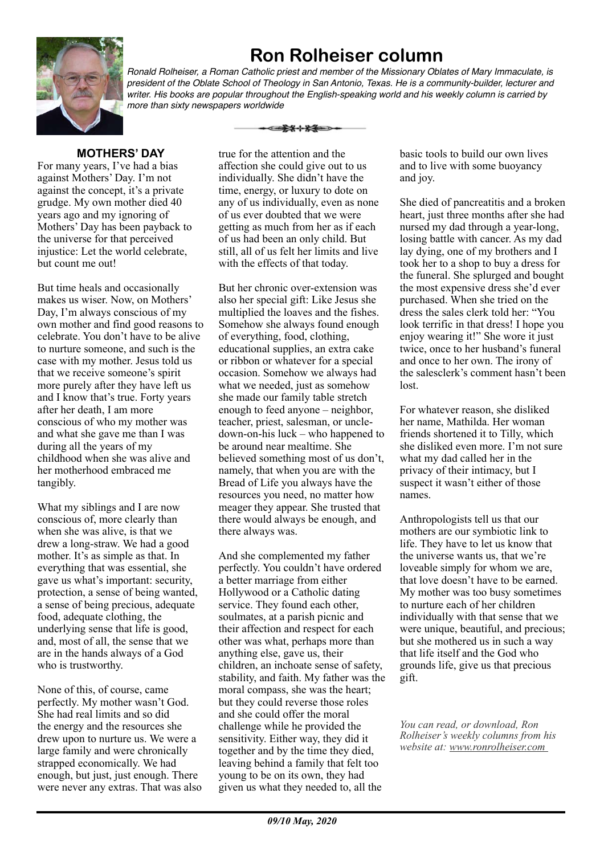

# **Ron Rolheiser column**

*Ronald Rolheiser, a Roman Catholic priest and member of the Missionary Oblates of Mary Immaculate, is president of the Oblate School of Theology in San Antonio, Texas. He is a community-builder, lecturer and writer. His books are popular throughout the English-speaking world and his weekly column is carried by more than sixty newspapers worldwide*

### **MOTHERS' DAY**

For many years, I've had a bias against Mothers' Day. I'm not against the concept, it's a private grudge. My own mother died 40 years ago and my ignoring of Mothers' Day has been payback to the universe for that perceived injustice: Let the world celebrate, but count me out!

But time heals and occasionally makes us wiser. Now, on Mothers' Day, I'm always conscious of my own mother and find good reasons to celebrate. You don't have to be alive to nurture someone, and such is the case with my mother. Jesus told us that we receive someone's spirit more purely after they have left us and I know that's true. Forty years after her death, I am more conscious of who my mother was and what she gave me than I was during all the years of my childhood when she was alive and her motherhood embraced me tangibly.

What my siblings and I are now conscious of, more clearly than when she was alive, is that we drew a long-straw. We had a good mother. It's as simple as that. In everything that was essential, she gave us what's important: security, protection, a sense of being wanted, a sense of being precious, adequate food, adequate clothing, the underlying sense that life is good, and, most of all, the sense that we are in the hands always of a God who is trustworthy.

None of this, of course, came perfectly. My mother wasn't God. She had real limits and so did the energy and the resources she drew upon to nurture us. We were a large family and were chronically strapped economically. We had enough, but just, just enough. There were never any extras. That was also true for the attention and the affection she could give out to us individually. She didn't have the time, energy, or luxury to dote on any of us individually, even as none of us ever doubted that we were getting as much from her as if each of us had been an only child. But still, all of us felt her limits and live with the effects of that today.

▅<del>▛</del>▓⊹▓▓▅

But her chronic over-extension was also her special gift: Like Jesus she multiplied the loaves and the fishes. Somehow she always found enough of everything, food, clothing, educational supplies, an extra cake or ribbon or whatever for a special occasion. Somehow we always had what we needed, just as somehow she made our family table stretch enough to feed anyone – neighbor, teacher, priest, salesman, or uncledown-on-his luck – who happened to be around near mealtime. She believed something most of us don't, namely, that when you are with the Bread of Life you always have the resources you need, no matter how meager they appear. She trusted that there would always be enough, and there always was.

And she complemented my father perfectly. You couldn't have ordered a better marriage from either Hollywood or a Catholic dating service. They found each other, soulmates, at a parish picnic and their affection and respect for each other was what, perhaps more than anything else, gave us, their children, an inchoate sense of safety, stability, and faith. My father was the moral compass, she was the heart; but they could reverse those roles and she could offer the moral challenge while he provided the sensitivity. Either way, they did it together and by the time they died, leaving behind a family that felt too young to be on its own, they had given us what they needed to, all the

basic tools to build our own lives and to live with some buoyancy and joy.

She died of pancreatitis and a broken heart, just three months after she had nursed my dad through a year-long, losing battle with cancer. As my dad lay dying, one of my brothers and I took her to a shop to buy a dress for the funeral. She splurged and bought the most expensive dress she'd ever purchased. When she tried on the dress the sales clerk told her: "You look terrific in that dress! I hope you enjoy wearing it!" She wore it just twice, once to her husband's funeral and once to her own. The irony of the salesclerk's comment hasn't been lost.

For whatever reason, she disliked her name, Mathilda. Her woman friends shortened it to Tilly, which she disliked even more. I'm not sure what my dad called her in the privacy of their intimacy, but I suspect it wasn't either of those names.

Anthropologists tell us that our mothers are our symbiotic link to life. They have to let us know that the universe wants us, that we're loveable simply for whom we are, that love doesn't have to be earned. My mother was too busy sometimes to nurture each of her children individually with that sense that we were unique, beautiful, and precious; but she mothered us in such a way that life itself and the God who grounds life, give us that precious gift.

*You can read, or download, Ron Rolheiser's weekly columns from his website at: www.ronrolheiser.com*